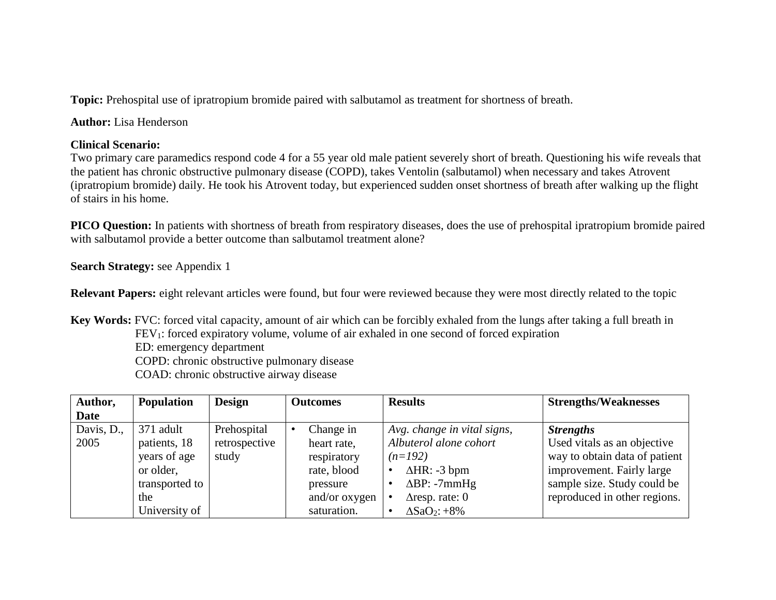**Topic:** Prehospital use of ipratropium bromide paired with salbutamol as treatment for shortness of breath.

**Author:** Lisa Henderson

## **Clinical Scenario:**

Two primary care paramedics respond code 4 for a 55 year old male patient severely short of breath. Questioning his wife reveals that the patient has chronic obstructive pulmonary disease (COPD), takes Ventolin (salbutamol) when necessary and takes Atrovent (ipratropium bromide) daily. He took his Atrovent today, but experienced sudden onset shortness of breath after walking up the flight of stairs in his home.

**PICO Question:** In patients with shortness of breath from respiratory diseases, does the use of prehospital ipratropium bromide paired with salbutamol provide a better outcome than salbutamol treatment alone?

# **Search Strategy:** see Appendix 1

**Relevant Papers:** eight relevant articles were found, but four were reviewed because they were most directly related to the topic

**Key Words:** FVC: forced vital capacity, amount of air which can be forcibly exhaled from the lungs after taking a full breath in FEV<sub>1</sub>: forced expiratory volume, volume of air exhaled in one second of forced expiration ED: emergency department COPD: chronic obstructive pulmonary disease

COAD: chronic obstructive airway disease

| Author,    | <b>Population</b> | <b>Design</b> | <b>Outcomes</b> | <b>Results</b>                  | <b>Strengths/Weaknesses</b>   |
|------------|-------------------|---------------|-----------------|---------------------------------|-------------------------------|
| Date       |                   |               |                 |                                 |                               |
| Davis, D., | 371 adult         | Prehospital   | Change in       | Avg. change in vital signs,     | <b>Strengths</b>              |
| 2005       | patients, 18      | retrospective | heart rate,     | Albuterol alone cohort          | Used vitals as an objective   |
|            | years of age      | study         | respiratory     | $(n=192)$                       | way to obtain data of patient |
|            | or older,         |               | rate, blood     | $\Delta HR: -3$ bpm             | improvement. Fairly large     |
|            | transported to    |               | pressure        | $\Delta BP: -7mmHg$             | sample size. Study could be   |
|            | the               |               | and/or oxygen   | $\triangle$ resp. rate: 0       | reproduced in other regions.  |
|            | University of     |               | saturation.     | $\Delta$ SaO <sub>2</sub> : +8% |                               |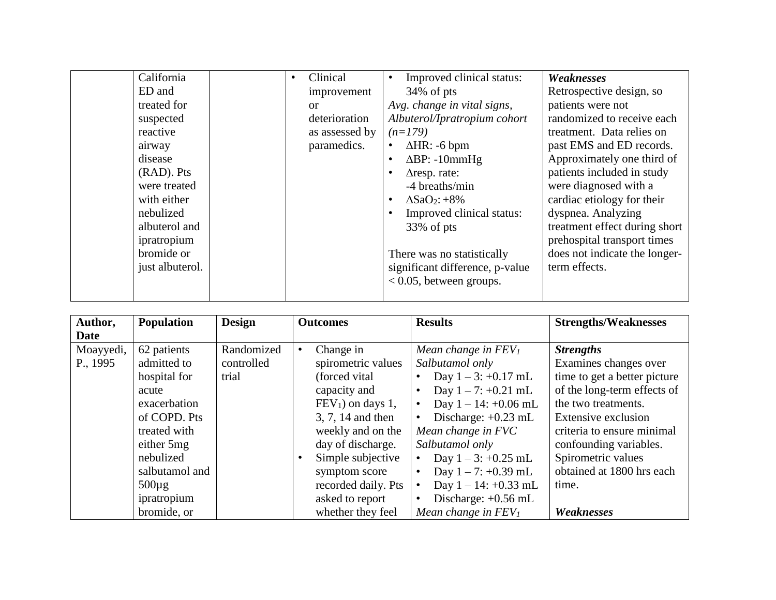| California      | ٠ | Clinical       | Improved clinical status:       | Weaknesses                    |
|-----------------|---|----------------|---------------------------------|-------------------------------|
| ED and          |   | improvement    | $34\%$ of pts                   | Retrospective design, so      |
| treated for     |   | $\alpha$       | Avg. change in vital signs,     | patients were not             |
| suspected       |   | deterioration  | Albuterol/Ipratropium cohort    | randomized to receive each    |
| reactive        |   | as assessed by | $(n=179)$                       | treatment. Data relies on     |
| airway          |   | paramedics.    | $\Delta HR$ : -6 bpm            | past EMS and ED records.      |
| disease         |   |                | $\Delta BP$ : -10mmHg           | Approximately one third of    |
| (RAD). Pts      |   |                | $\triangle$ resp. rate:         | patients included in study    |
| were treated    |   |                | -4 breaths/min                  | were diagnosed with a         |
| with either     |   |                | $\Delta$ SaO <sub>2</sub> : +8% | cardiac etiology for their    |
| nebulized       |   |                | Improved clinical status:       | dyspnea. Analyzing            |
| albuterol and   |   |                | 33% of pts                      | treatment effect during short |
| ipratropium     |   |                |                                 | prehospital transport times   |
| bromide or      |   |                | There was no statistically      | does not indicate the longer- |
| just albuterol. |   |                | significant difference, p-value | term effects.                 |
|                 |   |                | $< 0.05$ , between groups.      |                               |
|                 |   |                |                                 |                               |

| Author,   | <b>Population</b> | <b>Design</b> | <b>Outcomes</b>     | <b>Results</b>          | <b>Strengths/Weaknesses</b>  |
|-----------|-------------------|---------------|---------------------|-------------------------|------------------------------|
| Date      |                   |               |                     |                         |                              |
| Moayyedi, | 62 patients       | Randomized    | Change in           | Mean change in $FEV1$   | <b>Strengths</b>             |
| P., 1995  | admitted to       | controlled    | spirometric values  | Salbutamol only         | Examines changes over        |
|           | hospital for      | trial         | (forced vital)      | Day $1 - 3$ : +0.17 mL  | time to get a better picture |
|           | acute             |               | capacity and        | Day $1 - 7$ : +0.21 mL  | of the long-term effects of  |
|           | exacerbation      |               | $FEV1$ on days 1,   | Day $1 - 14$ : +0.06 mL | the two treatments.          |
|           | of COPD. Pts      |               | 3, 7, 14 and then   | Discharge: $+0.23$ mL   | Extensive exclusion          |
|           | treated with      |               | weekly and on the   | Mean change in FVC      | criteria to ensure minimal   |
|           | either 5mg        |               | day of discharge.   | Salbutamol only         | confounding variables.       |
|           | nebulized         |               | Simple subjective   | Day $1 - 3$ : +0.25 mL  | Spirometric values           |
|           | salbutamol and    |               | symptom score       | Day $1 - 7$ : +0.39 mL  | obtained at 1800 hrs each    |
|           | $500 \mu g$       |               | recorded daily. Pts | Day $1 - 14$ : +0.33 mL | time.                        |
|           | ipratropium       |               | asked to report     | Discharge: $+0.56$ mL   |                              |
|           | bromide, or       |               | whether they feel   | Mean change in $FEV1$   | Weaknesses                   |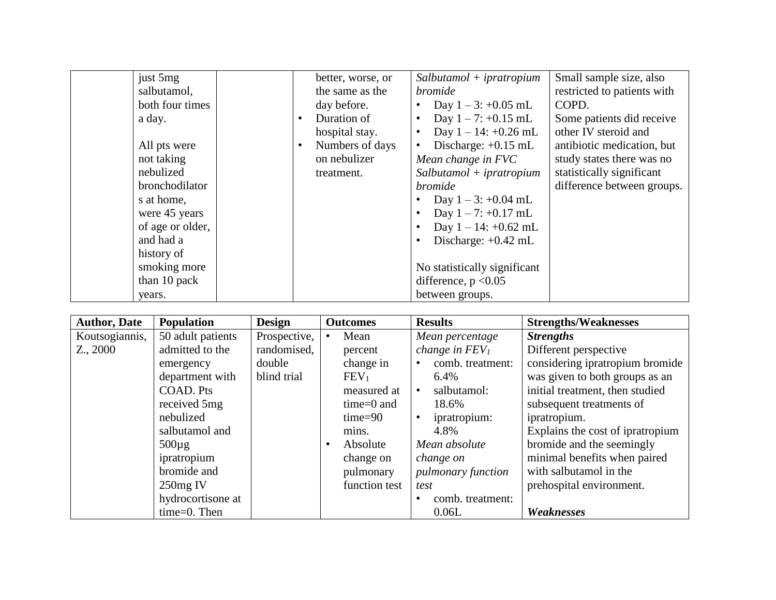| just 5mg         |           | better, worse, or | $Salbutamol + ipratropium$         | Small sample size, also     |
|------------------|-----------|-------------------|------------------------------------|-----------------------------|
| salbutamol,      |           | the same as the   | <i>bromide</i>                     | restricted to patients with |
| both four times  |           | day before.       | Day $1 - 3$ : +0.05 mL             | COPD.                       |
| a day.           |           | Duration of       | Day $1 - 7$ : +0.15 mL             | Some patients did receive   |
|                  |           | hospital stay.    | Day $1 - 14$ : +0.26 mL            | other IV steroid and        |
| All pts were     | $\bullet$ | Numbers of days   | Discharge: $+0.15$ mL<br>$\bullet$ | antibiotic medication, but  |
| not taking       |           | on nebulizer      | Mean change in FVC                 | study states there was no   |
| nebulized        |           | treatment.        | $Salbutamol + ipratropium$         | statistically significant   |
| bronchodilator   |           |                   | <i>bromide</i>                     | difference between groups.  |
| s at home,       |           |                   | Day $1 - 3$ : +0.04 mL             |                             |
| were 45 years    |           |                   | Day $1 - 7$ : +0.17 mL             |                             |
| of age or older, |           |                   | Day $1 - 14$ : +0.62 mL            |                             |
| and had a        |           |                   | Discharge: $+0.42$ mL              |                             |
| history of       |           |                   |                                    |                             |
| smoking more     |           |                   | No statistically significant       |                             |
| than 10 pack     |           |                   | difference, $p < 0.05$             |                             |
| years.           |           |                   | between groups.                    |                             |

| <b>Author, Date</b> | <b>Population</b> | <b>Design</b> | <b>Outcomes</b>  | <b>Results</b>            | <b>Strengths/Weaknesses</b>      |
|---------------------|-------------------|---------------|------------------|---------------------------|----------------------------------|
| Koutsogiannis,      | 50 adult patients | Prospective,  | Mean             | Mean percentage           | <b>Strengths</b>                 |
| $Z_{\cdot}$ , 2000  | admitted to the   | randomised,   | percent          | change in $FEV1$          | Different perspective            |
|                     | emergency         | double        | change in        | comb. treatment:          | considering ipratropium bromide  |
|                     | department with   | blind trial   | FEV <sub>1</sub> | 6.4%                      | was given to both groups as an   |
|                     | COAD. Pts         |               | measured at      | salbutamol:<br>$\bullet$  | initial treatment, then studied  |
|                     | received 5mg      |               | $time=0$ and     | 18.6%                     | subsequent treatments of         |
|                     | nebulized         |               | $time = 90$      | ipratropium:              | ipratropium.                     |
|                     | salbutamol and    |               | mins.            | 4.8%                      | Explains the cost of ipratropium |
|                     | $500\mu$ g        |               | Absolute         | Mean absolute             | bromide and the seemingly        |
|                     | ipratropium       |               | change on        | change on                 | minimal benefits when paired     |
|                     | bromide and       |               | pulmonary        | <i>pulmonary function</i> | with salbutamol in the           |
|                     | $250mg$ IV        |               | function test    | test                      | prehospital environment.         |
|                     | hydrocortisone at |               |                  | comb. treatment:          |                                  |
|                     | $time=0$ . Then   |               |                  | 0.06L                     | Weaknesses                       |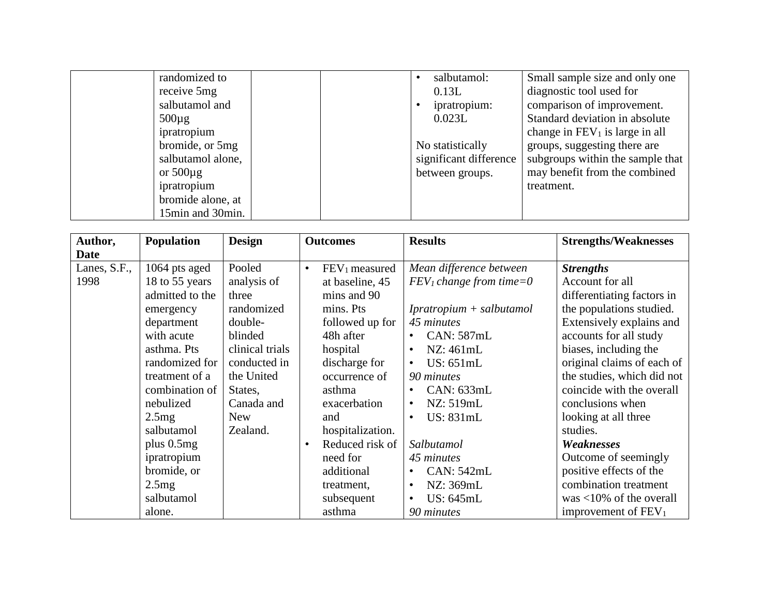| randomized to     |  | salbutamol:            | Small sample size and only one    |
|-------------------|--|------------------------|-----------------------------------|
| receive 5mg       |  | 0.13L                  | diagnostic tool used for          |
| salbutamol and    |  | ipratropium:           | comparison of improvement.        |
| $500\mu$ g        |  | 0.023L                 | Standard deviation in absolute    |
| ipratropium       |  |                        | change in $FEV_1$ is large in all |
| bromide, or 5mg   |  | No statistically       | groups, suggesting there are      |
| salbutamol alone, |  | significant difference | subgroups within the sample that  |
| or $500\mu$ g     |  | between groups.        | may benefit from the combined     |
| ipratropium       |  |                        | treatment.                        |
| bromide alone, at |  |                        |                                   |
| 15min and 30min.  |  |                        |                                   |

| Author,      | Population      | <b>Design</b>   | <b>Outcomes</b>                        | <b>Results</b>             | <b>Strengths/Weaknesses</b>     |
|--------------|-----------------|-----------------|----------------------------------------|----------------------------|---------------------------------|
| <b>Date</b>  |                 |                 |                                        |                            |                                 |
| Lanes, S.F., | 1064 pts aged   | Pooled          | FEV <sub>1</sub> measured<br>$\bullet$ | Mean difference between    | <b>Strengths</b>                |
| 1998         | 18 to 55 years  | analysis of     | at baseline, 45                        | $FEV1 change from time=0$  | Account for all                 |
|              | admitted to the | three           | mins and 90                            |                            | differentiating factors in      |
|              | emergency       | randomized      | mins. Pts                              | $Ipratropium + salbutamol$ | the populations studied.        |
|              | department      | double-         | followed up for                        | 45 minutes                 | Extensively explains and        |
|              | with acute      | blinded         | 48h after                              | <b>CAN: 587mL</b>          | accounts for all study          |
|              | asthma. Pts     | clinical trials | hospital                               | NZ: 461mL                  | biases, including the           |
|              | randomized for  | conducted in    | discharge for                          | US: 651mL                  | original claims of each of      |
|              | treatment of a  | the United      | occurrence of                          | 90 minutes                 | the studies, which did not      |
|              | combination of  | States,         | asthma                                 | CAN: 633mL                 | coincide with the overall       |
|              | nebulized       | Canada and      | exacerbation                           | NZ: 519mL                  | conclusions when                |
|              | 2.5mg           | <b>New</b>      | and                                    | US: 831mL                  | looking at all three            |
|              | salbutamol      | Zealand.        | hospitalization.                       |                            | studies.                        |
|              | plus $0.5mg$    |                 | Reduced risk of<br>$\bullet$           | Salbutamol                 | Weaknesses                      |
|              | ipratropium     |                 | need for                               | 45 minutes                 | Outcome of seemingly            |
|              | bromide, or     |                 | additional                             | <b>CAN: 542mL</b>          | positive effects of the         |
|              | 2.5mg           |                 | treatment,                             | NZ: 369mL                  | combination treatment           |
|              | salbutamol      |                 | subsequent                             | US: 645mL                  | was $<$ 10% of the overall      |
|              | alone.          |                 | asthma                                 | 90 minutes                 | improvement of FEV <sub>1</sub> |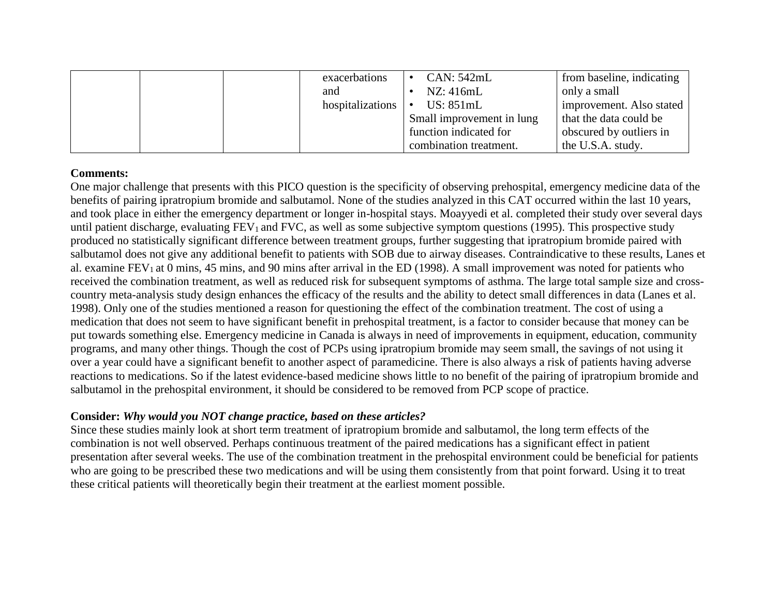|  | exacerbations    | CAN: 542mL                | from baseline, indicating |
|--|------------------|---------------------------|---------------------------|
|  | and              | NZ:416mL                  | only a small              |
|  | hospitalizations | US: $851mL$<br>$\bullet$  | improvement. Also stated  |
|  |                  | Small improvement in lung | that the data could be    |
|  |                  | function indicated for    | obscured by outliers in   |
|  |                  | combination treatment.    | the U.S.A. study.         |

### **Comments:**

One major challenge that presents with this PICO question is the specificity of observing prehospital, emergency medicine data of the benefits of pairing ipratropium bromide and salbutamol. None of the studies analyzed in this CAT occurred within the last 10 years, and took place in either the emergency department or longer in-hospital stays. Moayyedi et al. completed their study over several days until patient discharge, evaluating  $FEV_1$  and  $FVC$ , as well as some subjective symptom questions (1995). This prospective study produced no statistically significant difference between treatment groups, further suggesting that ipratropium bromide paired with salbutamol does not give any additional benefit to patients with SOB due to airway diseases. Contraindicative to these results, Lanes et al. examine  $FEV_1$  at 0 mins, 45 mins, and 90 mins after arrival in the ED (1998). A small improvement was noted for patients who received the combination treatment, as well as reduced risk for subsequent symptoms of asthma. The large total sample size and crosscountry meta-analysis study design enhances the efficacy of the results and the ability to detect small differences in data (Lanes et al. 1998). Only one of the studies mentioned a reason for questioning the effect of the combination treatment. The cost of using a medication that does not seem to have significant benefit in prehospital treatment, is a factor to consider because that money can be put towards something else. Emergency medicine in Canada is always in need of improvements in equipment, education, community programs, and many other things. Though the cost of PCPs using ipratropium bromide may seem small, the savings of not using it over a year could have a significant benefit to another aspect of paramedicine. There is also always a risk of patients having adverse reactions to medications. So if the latest evidence-based medicine shows little to no benefit of the pairing of ipratropium bromide and salbutamol in the prehospital environment, it should be considered to be removed from PCP scope of practice.

### **Consider:** *Why would you NOT change practice, based on these articles?*

Since these studies mainly look at short term treatment of ipratropium bromide and salbutamol, the long term effects of the combination is not well observed. Perhaps continuous treatment of the paired medications has a significant effect in patient presentation after several weeks. The use of the combination treatment in the prehospital environment could be beneficial for patients who are going to be prescribed these two medications and will be using them consistently from that point forward. Using it to treat these critical patients will theoretically begin their treatment at the earliest moment possible.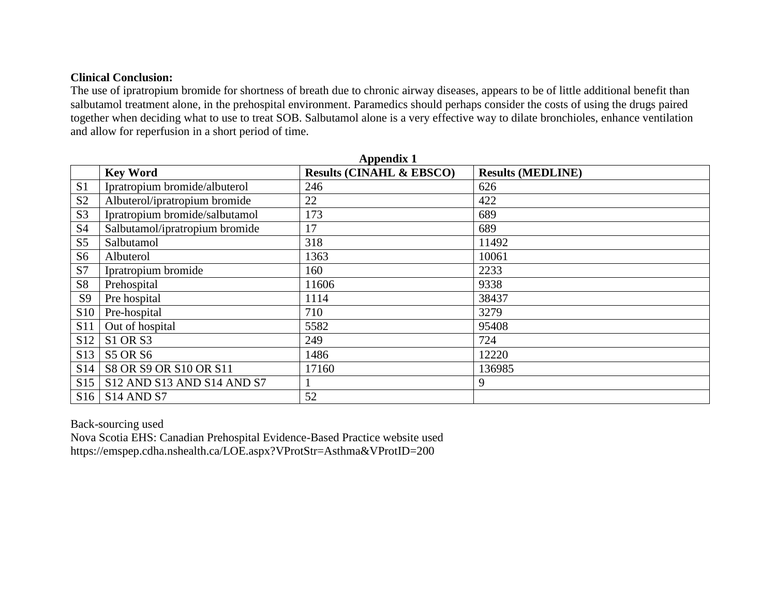## **Clinical Conclusion:**

The use of ipratropium bromide for shortness of breath due to chronic airway diseases, appears to be of little additional benefit than salbutamol treatment alone, in the prehospital environment. Paramedics should perhaps consider the costs of using the drugs paired together when deciding what to use to treat SOB. Salbutamol alone is a very effective way to dilate bronchioles, enhance ventilation and allow for reperfusion in a short period of time.

|                 | <b>Appendix 1</b>                 |                                     |                          |  |  |  |  |  |
|-----------------|-----------------------------------|-------------------------------------|--------------------------|--|--|--|--|--|
|                 | <b>Key Word</b>                   | <b>Results (CINAHL &amp; EBSCO)</b> | <b>Results (MEDLINE)</b> |  |  |  |  |  |
| S <sub>1</sub>  | Ipratropium bromide/albuterol     | 246                                 | 626                      |  |  |  |  |  |
| S <sub>2</sub>  | Albuterol/ipratropium bromide     | 22                                  | 422                      |  |  |  |  |  |
| S <sub>3</sub>  | Ipratropium bromide/salbutamol    | 173                                 | 689                      |  |  |  |  |  |
| S <sub>4</sub>  | Salbutamol/ipratropium bromide    | 17                                  | 689                      |  |  |  |  |  |
| S <sub>5</sub>  | Salbutamol                        | 318                                 | 11492                    |  |  |  |  |  |
| S <sub>6</sub>  | Albuterol                         | 1363                                | 10061                    |  |  |  |  |  |
| S7              | Ipratropium bromide               | 160                                 | 2233                     |  |  |  |  |  |
| <b>S8</b>       | Prehospital                       | 11606                               | 9338                     |  |  |  |  |  |
| S <sub>9</sub>  | Pre hospital                      | 1114                                | 38437                    |  |  |  |  |  |
| <b>S10</b>      | Pre-hospital                      | 710                                 | 3279                     |  |  |  |  |  |
| <b>S11</b>      | Out of hospital                   | 5582                                | 95408                    |  |  |  |  |  |
| S <sub>12</sub> | <b>S1 OR S3</b>                   | 249                                 | 724                      |  |  |  |  |  |
| S <sub>13</sub> | <b>S5 OR S6</b>                   | 1486                                | 12220                    |  |  |  |  |  |
| S14             | S8 OR S9 OR S10 OR S11            | 17160                               | 136985                   |  |  |  |  |  |
| S15             | S12 AND S13 AND S14 AND S7        |                                     | 9                        |  |  |  |  |  |
| S16             | S <sub>14</sub> AND <sub>S7</sub> | 52                                  |                          |  |  |  |  |  |

Back-sourcing used

Nova Scotia EHS: Canadian Prehospital Evidence-Based Practice website used https://emspep.cdha.nshealth.ca/LOE.aspx?VProtStr=Asthma&VProtID=200